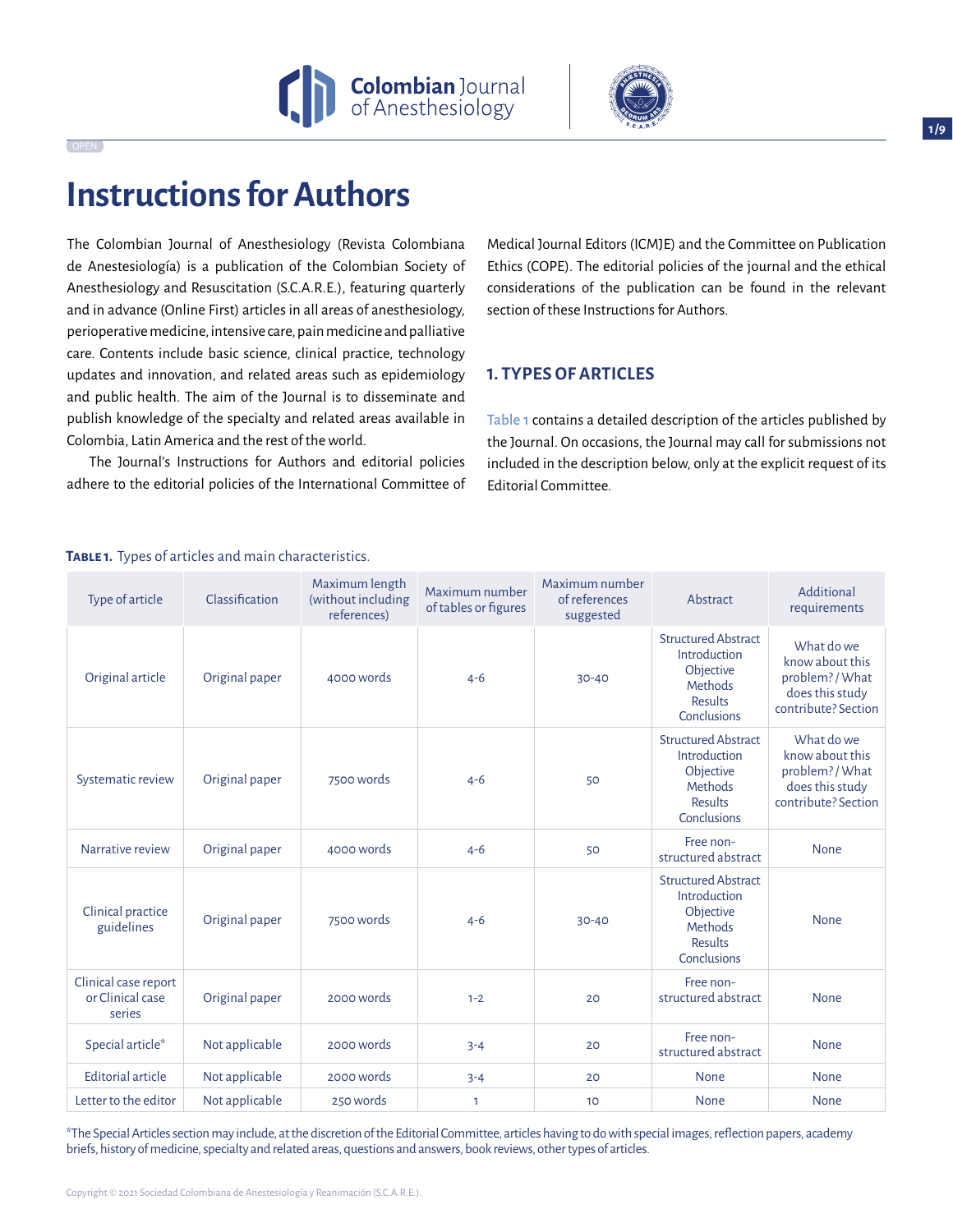



# **Instructions for Authors**

The Colombian Journal of Anesthesiology (Revista Colombiana de Anestesiología) is a publication of the Colombian Society of Anesthesiology and Resuscitation (S.C.A.R.E.), featuring quarterly and in advance (Online First) articles in all areas of anesthesiology, perioperative medicine, intensive care, pain medicine and palliative care. Contents include basic science, clinical practice, technology updates and innovation, and related areas such as epidemiology and public health. The aim of the Journal is to disseminate and publish knowledge of the specialty and related areas available in Colombia, Latin America and the rest of the world.

The Journal's Instructions for Authors and editorial policies adhere to the editorial policies of the International Committee of Medical Journal Editors (ICMJE) and the Committee on Publication Ethics (COPE). The editorial policies of the journal and the ethical considerations of the publication can be found in the relevant section of these Instructions for Authors.

# **1. TYPES OF ARTICLES**

Table 1 contains a detailed description of the articles published by the Journal. On occasions, the Journal may call for submissions not included in the description below, only at the explicit request of its Editorial Committee.

| Type of article                                    | Classification | Maximum length<br>(without including<br>references) | Maximum number<br>of tables or figures | Maximum number<br>of references<br>suggested | Abstract                                                                                            | Additional<br>requirements                                                               |
|----------------------------------------------------|----------------|-----------------------------------------------------|----------------------------------------|----------------------------------------------|-----------------------------------------------------------------------------------------------------|------------------------------------------------------------------------------------------|
| Original article                                   | Original paper | 4000 words                                          | $4 - 6$                                | $30 - 40$                                    | <b>Structured Abstract</b><br>Introduction<br>Objective<br>Methods<br>Results<br>Conclusions        | What do we<br>know about this<br>problem?/What<br>does this study<br>contribute? Section |
| Systematic review                                  | Original paper | 7500 words                                          | $4 - 6$                                | 50                                           | <b>Structured Abstract</b><br>Introduction<br>Objective<br>Methods<br>Results<br>Conclusions        | What do we<br>know about this<br>problem?/What<br>does this study<br>contribute? Section |
| Narrative review                                   | Original paper | 4000 words                                          | $4 - 6$                                | 50                                           | Free non-<br>structured abstract                                                                    | None                                                                                     |
| Clinical practice<br>guidelines                    | Original paper | 7500 words                                          | $4 - 6$                                | $30 - 40$                                    | <b>Structured Abstract</b><br>Introduction<br>Objective<br>Methods<br><b>Results</b><br>Conclusions | None                                                                                     |
| Clinical case report<br>or Clinical case<br>series | Original paper | 2000 words                                          | $1 - 2$                                | 20                                           | Free non-<br>structured abstract                                                                    | None                                                                                     |
| Special article*                                   | Not applicable | 2000 words                                          | $3 - 4$                                | 20                                           | Free non-<br>structured abstract                                                                    | None                                                                                     |
| <b>Editorial article</b>                           | Not applicable | 2000 words                                          | $3 - 4$                                | 20                                           | None                                                                                                | None                                                                                     |
| Letter to the editor                               | Not applicable | 250 words                                           | $\mathbf{1}$                           | 10                                           | None                                                                                                | None                                                                                     |

**Table 1.** Types of articles and main characteristics.

\*The Special Articles section may include, at the discretion of the Editorial Committee, articles having to do with special images, reflection papers, academy briefs, history of medicine, specialty and related areas, questions and answers, book reviews, other types of articles.

**1/9**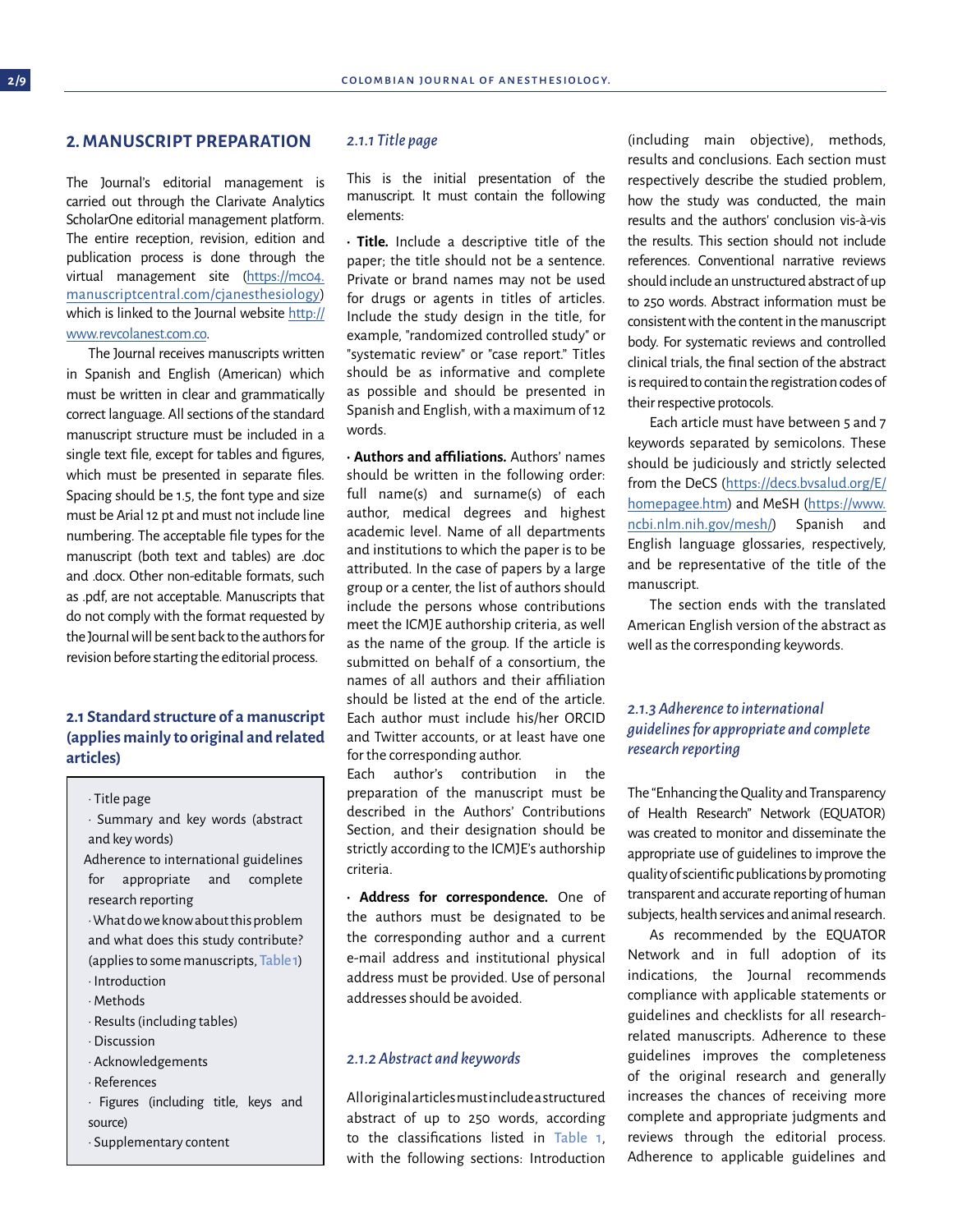# **2. MANUSCRIPT PREPARATION**

The Journal's editorial management is carried out through the Clarivate Analytics ScholarOne editorial management platform. The entire reception, revision, edition and publication process is done through the virtual management site [\(https://mc04.](https://mc04.manuscriptcentral.com/cjanesthesiology) [manuscriptcentral.com/cjanesthesiology\)](https://mc04.manuscriptcentral.com/cjanesthesiology) which is linked to the Journal website [http://](http://www.revcolanest.com.co) [www.revcolanest.com.co.](http://www.revcolanest.com.co)

The Journal receives manuscripts written in Spanish and English (American) which must be written in clear and grammatically correct language. All sections of the standard manuscript structure must be included in a single text file, except for tables and figures, which must be presented in separate files. Spacing should be 1.5, the font type and size must be Arial 12 pt and must not include line numbering. The acceptable file types for the manuscript (both text and tables) are .doc and .docx. Other non-editable formats, such as .pdf, are not acceptable. Manuscripts that do not comply with the format requested by the Journal will be sent back to the authors for revision before starting the editorial process.

# **2.1 Standard structure of a manuscript (applies mainly to original and related articles)**

· Title page

· Summary and key words (abstract and key words)

Adherence to international guidelines for appropriate and complete research reporting

· What do we know about this problem and what does this study contribute? (applies to some manuscripts, Table 1)

- · Introduction
- · Methods
- · Results (including tables)
- · Discussion
- · Acknowledgements
- · References
- · Figures (including title, keys and source)
- · Supplementary content

## *2.1.1 Title page*

This is the initial presentation of the manuscript. It must contain the following elements:

**· Title.** Include a descriptive title of the paper; the title should not be a sentence. Private or brand names may not be used for drugs or agents in titles of articles. Include the study design in the title, for example, "randomized controlled study" or "systematic review" or "case report." Titles should be as informative and complete as possible and should be presented in Spanish and English, with a maximum of 12 words.

**· Authors and affiliations.** Authors' names should be written in the following order: full name(s) and surname(s) of each author, medical degrees and highest academic level. Name of all departments and institutions to which the paper is to be attributed. In the case of papers by a large group or a center, the list of authors should include the persons whose contributions meet the ICMJE authorship criteria, as well as the name of the group. If the article is submitted on behalf of a consortium, the names of all authors and their affiliation should be listed at the end of the article. Each author must include his/her ORCID and Twitter accounts, or at least have one for the corresponding author.

Each author's contribution in the preparation of the manuscript must be described in the Authors' Contributions Section, and their designation should be strictly according to the ICMJE's authorship criteria.

**· Address for correspondence.** One of the authors must be designated to be the corresponding author and a current e-mail address and institutional physical address must be provided. Use of personal addresses should be avoided.

## *2.1.2 Abstract and keywords*

All original articles must include a structured abstract of up to 250 words, according to the classifications listed in Table 1, with the following sections: Introduction

(including main objective), methods, results and conclusions. Each section must respectively describe the studied problem, how the study was conducted, the main results and the authors' conclusion vis-à-vis the results. This section should not include references. Conventional narrative reviews should include an unstructured abstract of up to 250 words. Abstract information must be consistent with the content in the manuscript body. For systematic reviews and controlled clinical trials, the final section of the abstract is required to contain the registration codes of their respective protocols.

Each article must have between 5 and 7 keywords separated by semicolons. These should be judiciously and strictly selected from the DeCS [\(https://decs.bvsalud.org/E/](https://decs.bvsalud.org/E/homepagee.htm) [homepagee.htm\)](https://decs.bvsalud.org/E/homepagee.htm) and MeSH [\(https://www.](https://www.ncbi.nlm.nih.gov/mesh/) [ncbi.nlm.nih.gov/mesh/](https://www.ncbi.nlm.nih.gov/mesh/)) Spanish and English language glossaries, respectively, and be representative of the title of the manuscript.

The section ends with the translated American English version of the abstract as well as the corresponding keywords.

# *2.1.3 Adherence to international guidelines for appropriate and complete research reporting*

The "Enhancing the Quality and Transparency of Health Research" Network (EQUATOR) was created to monitor and disseminate the appropriate use of guidelines to improve the quality of scientific publications by promoting transparent and accurate reporting of human subjects, health services and animal research.

As recommended by the EQUATOR Network and in full adoption of its indications, the Journal recommends compliance with applicable statements or guidelines and checklists for all researchrelated manuscripts. Adherence to these guidelines improves the completeness of the original research and generally increases the chances of receiving more complete and appropriate judgments and reviews through the editorial process. Adherence to applicable guidelines and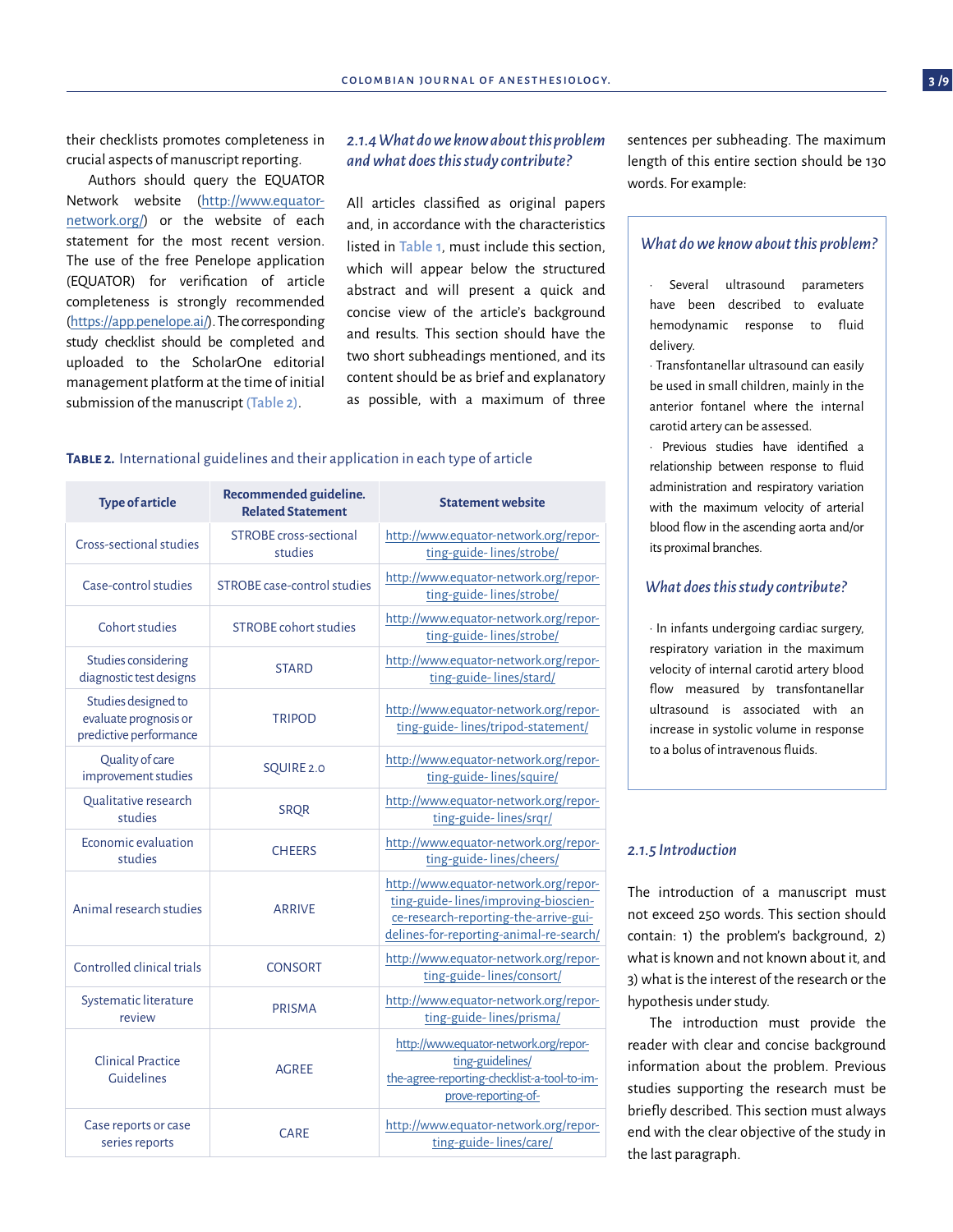their checklists promotes completeness in crucial aspects of manuscript reporting.

Authors should query the EQUATOR Network website [\(http://www.equator](http://www.equator-network.org/)[network.org/](http://www.equator-network.org/)) or the website of each statement for the most recent version. The use of the free Penelope application (EQUATOR) for verification of article completeness is strongly recommended [\(https://app.penelope.ai/\)](https://app.penelope.ai/). The corresponding study checklist should be completed and uploaded to the ScholarOne editorial management platform at the time of initial submission of the manuscript (Table 2).

# *2.1.4 What do we know about this problem and what does this study contribute?*

All articles classified as original papers and, in accordance with the characteristics listed in Table 1, must include this section, which will appear below the structured abstract and will present a quick and concise view of the article's background and results. This section should have the two short subheadings mentioned, and its content should be as brief and explanatory as possible, with a maximum of three

#### **Table 2.** International guidelines and their application in each type of article

| <b>Type of article</b>                                                 | Recommended guideline.<br><b>Related Statement</b> | <b>Statement website</b>                                                                                                                                          |  |  |
|------------------------------------------------------------------------|----------------------------------------------------|-------------------------------------------------------------------------------------------------------------------------------------------------------------------|--|--|
| Cross-sectional studies                                                | STROBE cross-sectional<br>studies                  | http://www.equator-network.org/repor-<br>ting-guide-lines/strobe/                                                                                                 |  |  |
| Case-control studies                                                   | STROBE case-control studies                        | http://www.equator-network.org/repor-<br>ting-guide-lines/strobe/                                                                                                 |  |  |
| Cohort studies                                                         | <b>STROBE</b> cohort studies                       | http://www.equator-network.org/repor-<br>ting-guide-lines/strobe/                                                                                                 |  |  |
| <b>Studies considering</b><br>diagnostic test designs                  | <b>STARD</b>                                       | http://www.equator-network.org/repor-<br>ting-guide-lines/stard/                                                                                                  |  |  |
| Studies designed to<br>evaluate prognosis or<br>predictive performance | <b>TRIPOD</b>                                      | http://www.equator-network.org/repor-<br>ting-guide-lines/tripod-statement/                                                                                       |  |  |
| Quality of care<br>improvement studies                                 | SQUIRE 2.0                                         | http://www.equator-network.org/repor-<br>ting-guide-lines/squire/                                                                                                 |  |  |
| Qualitative research<br>studies                                        | <b>SRQR</b>                                        | http://www.equator-network.org/repor-<br>ting-guide-lines/srqr/                                                                                                   |  |  |
| Economic evaluation<br>studies                                         | <b>CHEERS</b>                                      | http://www.equator-network.org/repor-<br>ting-guide-lines/cheers/                                                                                                 |  |  |
| Animal research studies                                                | <b>ARRIVE</b>                                      | http://www.equator-network.org/repor-<br>ting-guide-lines/improving-bioscien-<br>ce-research-reporting-the-arrive-gui-<br>delines-for-reporting-animal-re-search/ |  |  |
| Controlled clinical trials                                             | <b>CONSORT</b>                                     | http://www.equator-network.org/repor-<br>ting-guide-lines/consort/                                                                                                |  |  |
| Systematic literature<br>review                                        | <b>PRISMA</b>                                      | http://www.equator-network.org/repor-<br>ting-guide-lines/prisma/                                                                                                 |  |  |
| <b>Clinical Practice</b><br><b>Guidelines</b>                          | <b>AGREE</b>                                       | http://www.equator-network.org/repor-<br>ting-guidelines/<br>the-agree-reporting-checklist-a-tool-to-im-<br>prove-reporting-of-                                   |  |  |
| Case reports or case<br>series reports                                 | CARE                                               | http://www.equator-network.org/repor-<br>ting-guide-lines/care/                                                                                                   |  |  |

sentences per subheading. The maximum length of this entire section should be 130 words. For example:

#### *What do we know about this problem?*

Several ultrasound parameters have been described to evaluate hemodynamic response to fluid delivery.

· Transfontanellar ultrasound can easily be used in small children, mainly in the anterior fontanel where the internal carotid artery can be assessed.

· Previous studies have identified a relationship between response to fluid administration and respiratory variation with the maximum velocity of arterial blood flow in the ascending aorta and/or its proximal branches.

#### *What does this study contribute?*

· In infants undergoing cardiac surgery, respiratory variation in the maximum velocity of internal carotid artery blood flow measured by transfontanellar ultrasound is associated with an increase in systolic volume in response to a bolus of intravenous fluids.

#### *2.1.5 Introduction*

The introduction of a manuscript must not exceed 250 words. This section should contain: 1) the problem's background, 2) what is known and not known about it, and 3) what is the interest of the research or the hypothesis under study.

The introduction must provide the reader with clear and concise background information about the problem. Previous studies supporting the research must be briefly described. This section must always end with the clear objective of the study in the last paragraph.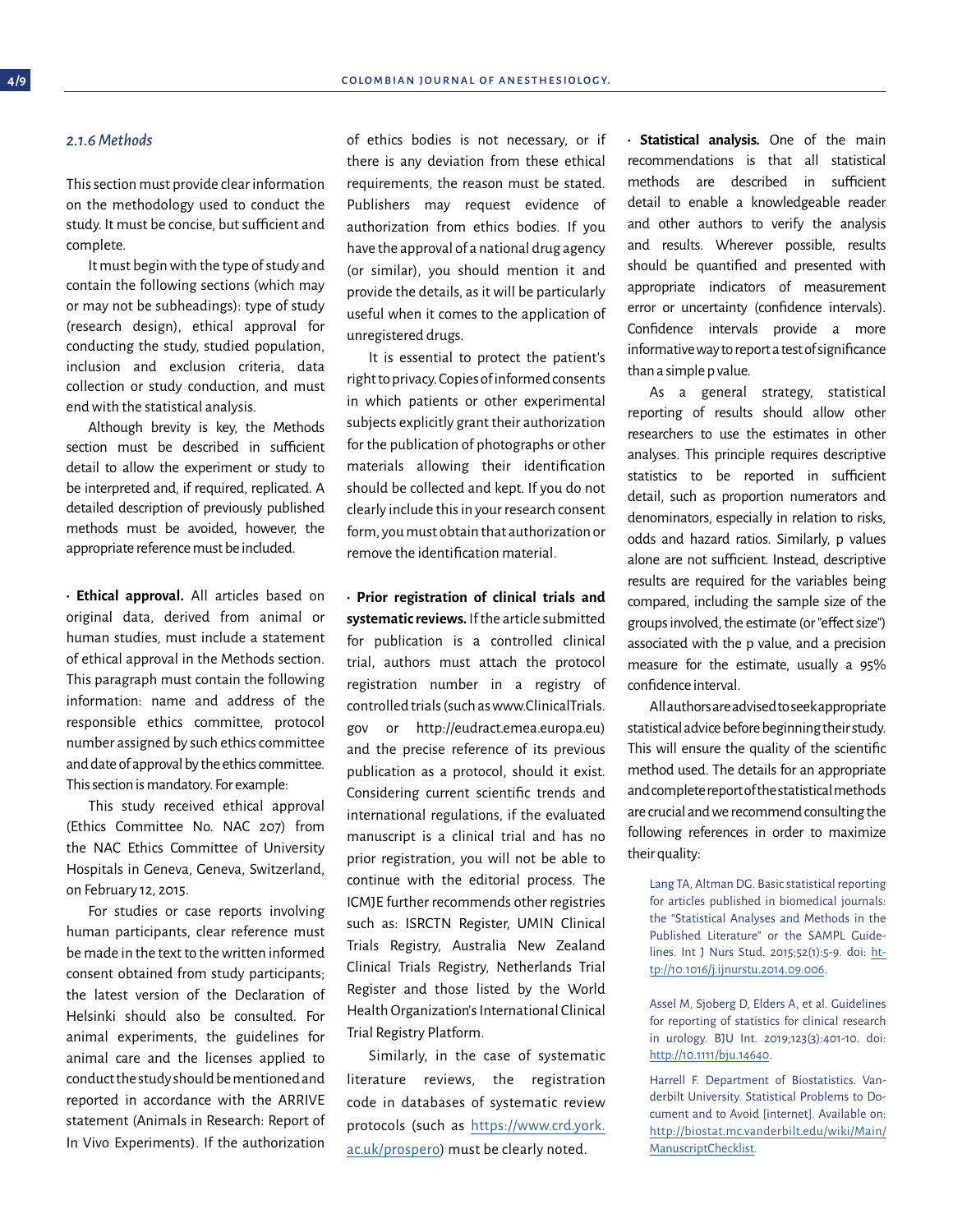## *2.1.6 Methods*

This section must provide clear information on the methodology used to conduct the study. It must be concise, but sufficient and complete.

It must begin with the type of study and contain the following sections (which may or may not be subheadings): type of study (research design), ethical approval for conducting the study, studied population, inclusion and exclusion criteria, data collection or study conduction, and must end with the statistical analysis.

Although brevity is key, the Methods section must be described in sufficient detail to allow the experiment or study to be interpreted and, if required, replicated. A detailed description of previously published methods must be avoided, however, the appropriate reference must be included.

**· Ethical approval.** All articles based on original data, derived from animal or human studies, must include a statement of ethical approval in the Methods section. This paragraph must contain the following information: name and address of the responsible ethics committee, protocol number assigned by such ethics committee and date of approval by the ethics committee. This section is mandatory. For example:

This study received ethical approval (Ethics Committee No. NAC 207) from the NAC Ethics Committee of University Hospitals in Geneva, Geneva, Switzerland, on February 12, 2015.

For studies or case reports involving human participants, clear reference must be made in the text to the written informed consent obtained from study participants; the latest version of the Declaration of Helsinki should also be consulted. For animal experiments, the guidelines for animal care and the licenses applied to conduct the study should be mentioned and reported in accordance with the ARRIVE statement (Animals in Research: Report of In Vivo Experiments). If the authorization of ethics bodies is not necessary, or if there is any deviation from these ethical requirements, the reason must be stated. Publishers may request evidence of authorization from ethics bodies. If you have the approval of a national drug agency (or similar), you should mention it and provide the details, as it will be particularly useful when it comes to the application of unregistered drugs.

It is essential to protect the patient's right to privacy. Copies of informed consents in which patients or other experimental subjects explicitly grant their authorization for the publication of photographs or other materials allowing their identification should be collected and kept. If you do not clearly include this in your research consent form, you must obtain that authorization or remove the identification material.

**· Prior registration of clinical trials and systematic reviews.** If the article submitted for publication is a controlled clinical trial, authors must attach the protocol registration number in a registry of controlled trials (such as www.ClinicalTrials. gov or http://eudract.emea.europa.eu) and the precise reference of its previous publication as a protocol, should it exist. Considering current scientific trends and international regulations, if the evaluated manuscript is a clinical trial and has no prior registration, you will not be able to continue with the editorial process. The ICMJE further recommends other registries such as: ISRCTN Register, UMIN Clinical Trials Registry, Australia New Zealand Clinical Trials Registry, Netherlands Trial Register and those listed by the World Health Organization's International Clinical Trial Registry Platform.

Similarly, in the case of systematic literature reviews, the registration code in databases of systematic review protocols (such as [https://www.crd.york.](https://www.crd.york.ac.uk/prospero) [ac.uk/prospero\)](https://www.crd.york.ac.uk/prospero) must be clearly noted.

**· Statistical analysis.** One of the main recommendations is that all statistical methods are described in sufficient detail to enable a knowledgeable reader and other authors to verify the analysis and results. Wherever possible, results should be quantified and presented with appropriate indicators of measurement error or uncertainty (confidence intervals). Confidence intervals provide a more informative way to report a test of significance than a simple p value.

As a general strategy, statistical reporting of results should allow other researchers to use the estimates in other analyses. This principle requires descriptive statistics to be reported in sufficient detail, such as proportion numerators and denominators, especially in relation to risks, odds and hazard ratios. Similarly, p values alone are not sufficient. Instead, descriptive results are required for the variables being compared, including the sample size of the groups involved, the estimate (or "effect size") associated with the p value, and a precision measure for the estimate, usually a 95% confidence interval.

All authors are advised to seek appropriate statistical advice before beginning their study. This will ensure the quality of the scientific method used. The details for an appropriate and complete report of the statistical methods are crucial and we recommend consulting the following references in order to maximize their quality:

Lang TA, Altman DG. Basic statistical reporting for articles published in biomedical journals: the "Statistical Analyses and Methods in the Published Literature" or the SAMPL Guidelines. Int J Nurs Stud. 2015;52(1):5-9. doi: [ht](http://10.1016/j.ijnurstu.2014.09.006)[tp://10.1016/j.ijnurstu.2014.09.006.](http://10.1016/j.ijnurstu.2014.09.006)

Assel M, Sjoberg D, Elders A, et al. Guidelines for reporting of statistics for clinical research in urology. BJU Int. 2019;123(3):401-10. doi: <http://10.1111/bju.14640>.

Harrell F. Department of Biostatistics. Vanderbilt University. Statistical Problems to Document and to Avoid [internet]. Available on: [http://biostat.mc.vanderbilt.edu/wiki/Main/](http://biostat.mc.vanderbilt.edu/wiki/Main/ManuscriptChecklist) [ManuscriptChecklist](http://biostat.mc.vanderbilt.edu/wiki/Main/ManuscriptChecklist).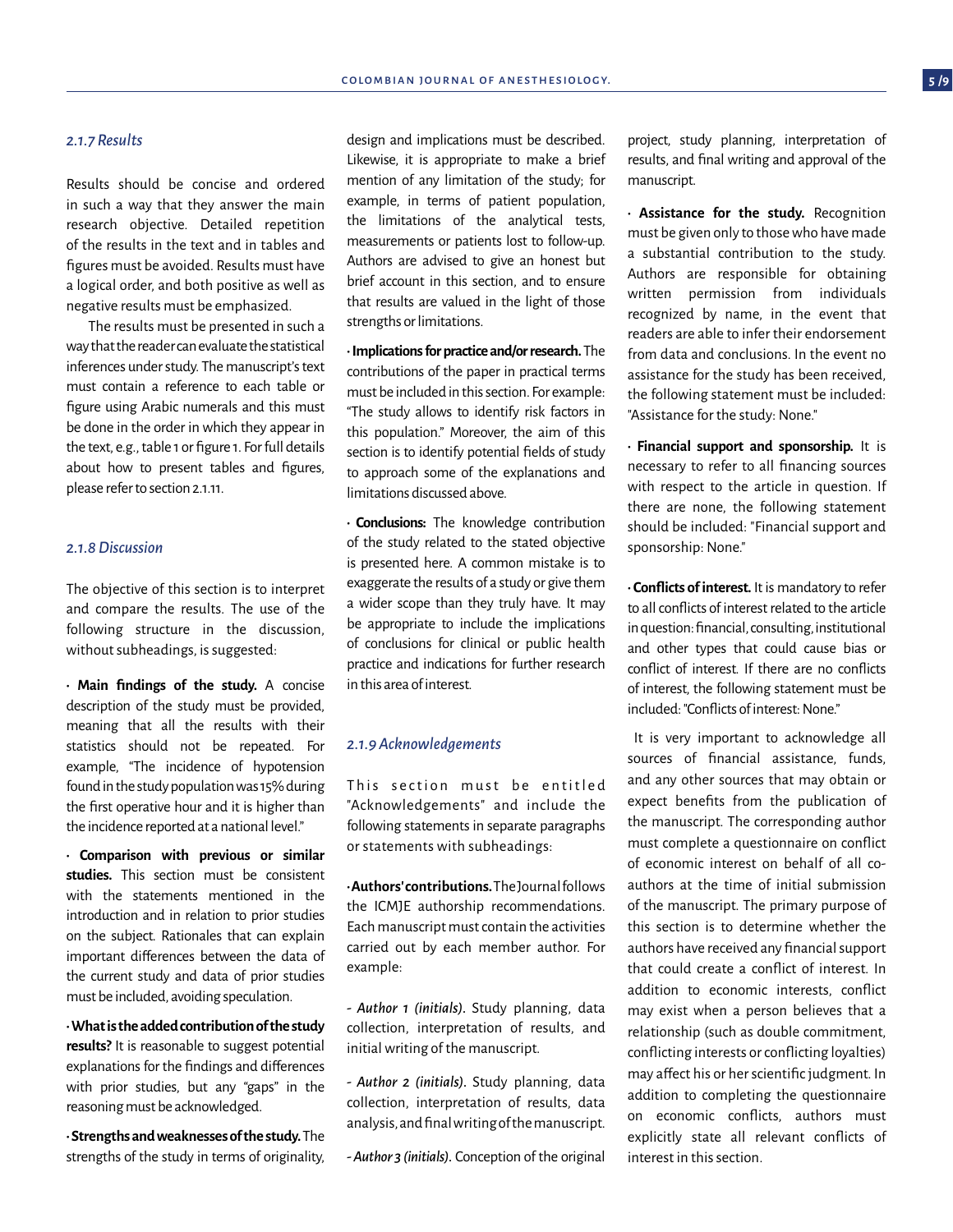## *2.1.7 Results*

Results should be concise and ordered in such a way that they answer the main research objective. Detailed repetition of the results in the text and in tables and figures must be avoided. Results must have a logical order, and both positive as well as negative results must be emphasized.

The results must be presented in such a way that the reader can evaluate the statistical inferences under study. The manuscript's text must contain a reference to each table or figure using Arabic numerals and this must be done in the order in which they appear in the text, e.g., table 1 or figure 1. For full details about how to present tables and figures, please refer to section 2.1.11.

## *2.1.8 Discussion*

The objective of this section is to interpret and compare the results. The use of the following structure in the discussion, without subheadings, is suggested:

**· Main findings of the study.** A concise description of the study must be provided, meaning that all the results with their statistics should not be repeated. For example, "The incidence of hypotension found in the study population was 15% during the first operative hour and it is higher than the incidence reported at a national level."

**· Comparison with previous or similar studies.** This section must be consistent with the statements mentioned in the introduction and in relation to prior studies on the subject. Rationales that can explain important differences between the data of the current study and data of prior studies must be included, avoiding speculation.

**· What is the added contribution of the study results?** It is reasonable to suggest potential explanations for the findings and differences with prior studies, but any "gaps" in the reasoning must be acknowledged.

**· Strengths and weaknesses of the study.** The strengths of the study in terms of originality, design and implications must be described. Likewise, it is appropriate to make a brief mention of any limitation of the study; for example, in terms of patient population, the limitations of the analytical tests, measurements or patients lost to follow-up. Authors are advised to give an honest but brief account in this section, and to ensure that results are valued in the light of those strengths or limitations.

**· Implications for practice and/or research.** The contributions of the paper in practical terms must be included in this section. For example: "The study allows to identify risk factors in this population." Moreover, the aim of this section is to identify potential fields of study to approach some of the explanations and limitations discussed above.

**· Conclusions:** The knowledge contribution of the study related to the stated objective is presented here. A common mistake is to exaggerate the results of a study or give them a wider scope than they truly have. It may be appropriate to include the implications of conclusions for clinical or public health practice and indications for further research in this area of interest.

#### *2.1.9 Acknowledgements*

This section must be entitled "Acknowledgements" and include the following statements in separate paragraphs or statements with subheadings:

**· Authors' contributions.** The Journal follows the ICMJE authorship recommendations. Each manuscript must contain the activities carried out by each member author. For example:

*- Author 1 (initials).* Study planning, data collection, interpretation of results, and initial writing of the manuscript.

*- Author 2 (initials).* Study planning, data collection, interpretation of results, data analysis, and final writing of the manuscript.

*- Author 3 (initials).* Conception of the original

project, study planning, interpretation of results, and final writing and approval of the manuscript.

**· Assistance for the study.** Recognition must be given only to those who have made a substantial contribution to the study. Authors are responsible for obtaining written permission from individuals recognized by name, in the event that readers are able to infer their endorsement from data and conclusions. In the event no assistance for the study has been received, the following statement must be included: "Assistance for the study: None."

**· Financial support and sponsorship.** It is necessary to refer to all financing sources with respect to the article in question. If there are none, the following statement should be included: "Financial support and sponsorship: None."

**· Conflicts of interest.** It is mandatory to refer to all conflicts of interest related to the article in question: financial, consulting, institutional and other types that could cause bias or conflict of interest. If there are no conflicts of interest, the following statement must be included: "Conflicts of interest: None."

 It is very important to acknowledge all sources of financial assistance, funds, and any other sources that may obtain or expect benefits from the publication of the manuscript. The corresponding author must complete a questionnaire on conflict of economic interest on behalf of all coauthors at the time of initial submission of the manuscript. The primary purpose of this section is to determine whether the authors have received any financial support that could create a conflict of interest. In addition to economic interests, conflict may exist when a person believes that a relationship (such as double commitment, conflicting interests or conflicting loyalties) may affect his or her scientific judgment. In addition to completing the questionnaire on economic conflicts, authors must explicitly state all relevant conflicts of interest in this section.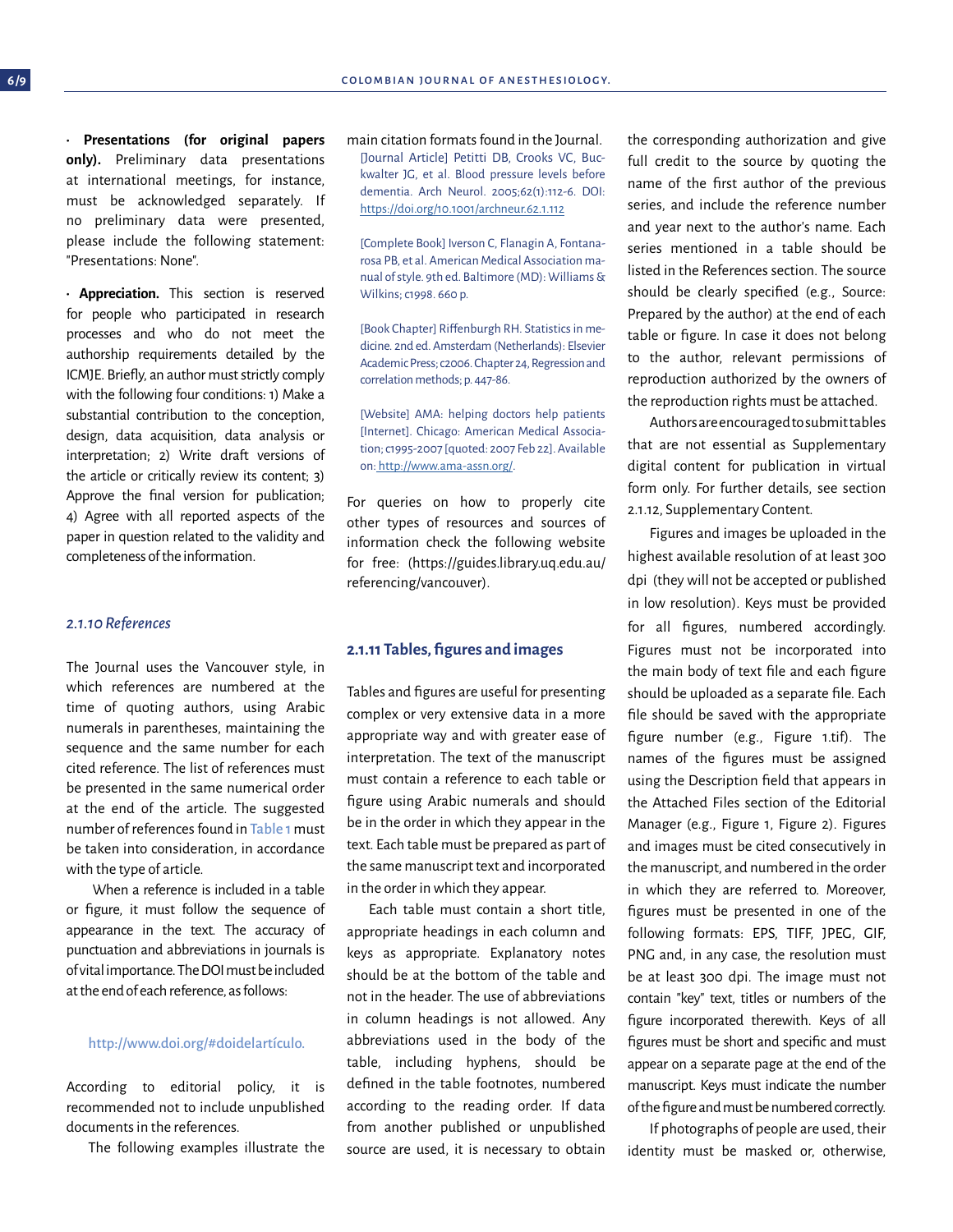**· Presentations (for original papers only).** Preliminary data presentations at international meetings, for instance, must be acknowledged separately. If no preliminary data were presented, please include the following statement: "Presentations: None".

**· Appreciation.** This section is reserved for people who participated in research processes and who do not meet the authorship requirements detailed by the ICMJE. Briefly, an author must strictly comply with the following four conditions: 1) Make a substantial contribution to the conception, design, data acquisition, data analysis or interpretation; 2) Write draft versions of the article or critically review its content; 3) Approve the final version for publication; 4) Agree with all reported aspects of the paper in question related to the validity and completeness of the information.

#### *2.1.10 References*

The Journal uses the Vancouver style, in which references are numbered at the time of quoting authors, using Arabic numerals in parentheses, maintaining the sequence and the same number for each cited reference. The list of references must be presented in the same numerical order at the end of the article. The suggested number of references found in Table 1 must be taken into consideration, in accordance with the type of article.

 When a reference is included in a table or figure, it must follow the sequence of appearance in the text. The accuracy of punctuation and abbreviations in journals is of vital importance. The DOI must be included at the end of each reference, as follows:

#### http://www.doi.org/#doidelartículo.

According to editorial policy, it is recommended not to include unpublished documents in the references.

The following examples illustrate the

main citation formats found in the Journal. [Journal Article] Petitti DB, Crooks VC, Buckwalter JG, et al. Blood pressure levels before dementia. Arch Neurol. 2005;62(1):112-6. DOI: <https://doi.org/10.1001/archneur.62.1.112>

[Complete Book] Iverson C, Flanagin A, Fontanarosa PB, et al. American Medical Association manual of style. 9th ed. Baltimore (MD): Williams & Wilkins; c1998. 660 p.

[Book Chapter] Riffenburgh RH. Statistics in medicine. 2nd ed. Amsterdam (Netherlands): Elsevier Academic Press; c2006. Chapter 24, Regression and correlation methods; p. 447-86.

[Website] AMA: helping doctors help patients [Internet]. Chicago: American Medical Association; c1995-2007 [quoted: 2007 Feb 22]. Available on: [http://www.ama-assn.org/]( http://www.ama-assn.org/).

For queries on how to properly cite other types of resources and sources of information check the following website for free: (https://guides.library.uq.edu.au/ referencing/vancouver).

## **2.1.11 Tables, figures and images**

Tables and figures are useful for presenting complex or very extensive data in a more appropriate way and with greater ease of interpretation. The text of the manuscript must contain a reference to each table or figure using Arabic numerals and should be in the order in which they appear in the text. Each table must be prepared as part of the same manuscript text and incorporated in the order in which they appear.

Each table must contain a short title, appropriate headings in each column and keys as appropriate. Explanatory notes should be at the bottom of the table and not in the header. The use of abbreviations in column headings is not allowed. Any abbreviations used in the body of the table, including hyphens, should be defined in the table footnotes, numbered according to the reading order. If data from another published or unpublished source are used, it is necessary to obtain

the corresponding authorization and give full credit to the source by quoting the name of the first author of the previous series, and include the reference number and year next to the author's name. Each series mentioned in a table should be listed in the References section. The source should be clearly specified (e.g., Source: Prepared by the author) at the end of each table or figure. In case it does not belong to the author, relevant permissions of reproduction authorized by the owners of the reproduction rights must be attached.

Authors are encouraged to submit tables that are not essential as Supplementary digital content for publication in virtual form only. For further details, see section 2.1.12, Supplementary Content.

Figures and images be uploaded in the highest available resolution of at least 300 dpi (they will not be accepted or published in low resolution). Keys must be provided for all figures, numbered accordingly. Figures must not be incorporated into the main body of text file and each figure should be uploaded as a separate file. Each file should be saved with the appropriate figure number (e.g., Figure 1.tif). The names of the figures must be assigned using the Description field that appears in the Attached Files section of the Editorial Manager (e.g., Figure 1, Figure 2). Figures and images must be cited consecutively in the manuscript, and numbered in the order in which they are referred to. Moreover, figures must be presented in one of the following formats: EPS, TIFF, JPEG, GIF, PNG and, in any case, the resolution must be at least 300 dpi. The image must not contain "key" text, titles or numbers of the figure incorporated therewith. Keys of all figures must be short and specific and must appear on a separate page at the end of the manuscript. Keys must indicate the number of the figure and must be numbered correctly.

If photographs of people are used, their identity must be masked or, otherwise,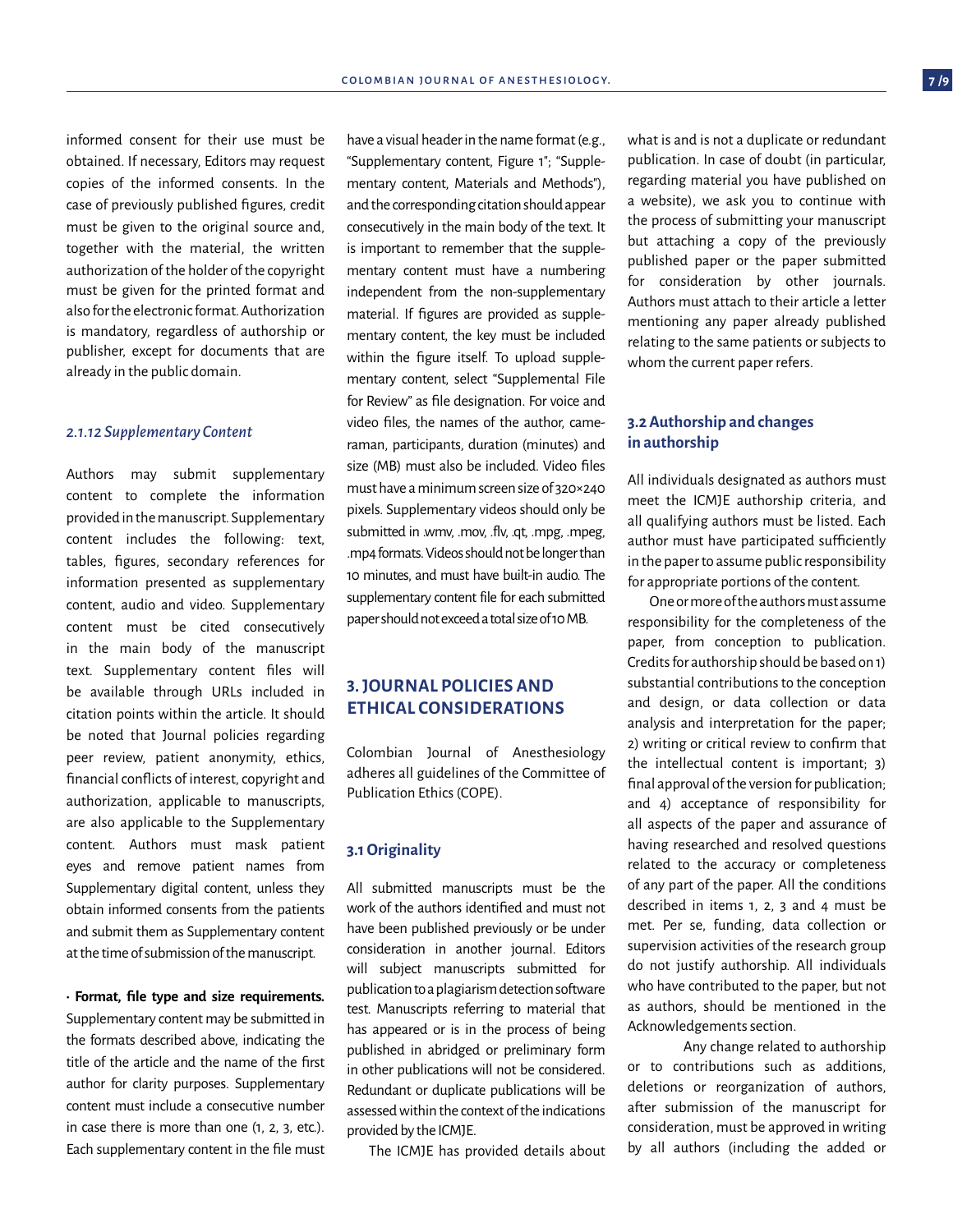informed consent for their use must be obtained. If necessary, Editors may request copies of the informed consents. In the case of previously published figures, credit must be given to the original source and, together with the material, the written authorization of the holder of the copyright must be given for the printed format and also for the electronic format. Authorization is mandatory, regardless of authorship or publisher, except for documents that are already in the public domain.

#### *2.1.12 Supplementary Content*

Authors may submit supplementary content to complete the information provided in the manuscript. Supplementary content includes the following: text, tables, figures, secondary references for information presented as supplementary content, audio and video. Supplementary content must be cited consecutively in the main body of the manuscript text. Supplementary content files will be available through URLs included in citation points within the article. It should be noted that Journal policies regarding peer review, patient anonymity, ethics, financial conflicts of interest, copyright and authorization, applicable to manuscripts, are also applicable to the Supplementary content. Authors must mask patient eyes and remove patient names from Supplementary digital content, unless they obtain informed consents from the patients and submit them as Supplementary content at the time of submission of the manuscript.

**· Format, file type and size requirements.**  Supplementary content may be submitted in the formats described above, indicating the title of the article and the name of the first author for clarity purposes. Supplementary content must include a consecutive number in case there is more than one (1, 2, 3, etc.). Each supplementary content in the file must have a visual header in the name format (e.g., "Supplementary content, Figure 1"; "Supplementary content, Materials and Methods"), and the corresponding citation should appear consecutively in the main body of the text. It is important to remember that the supplementary content must have a numbering independent from the non-supplementary material. If figures are provided as supplementary content, the key must be included within the figure itself. To upload supplementary content, select "Supplemental File for Review" as file designation. For voice and video files, the names of the author, cameraman, participants, duration (minutes) and size (MB) must also be included. Video files must have a minimum screen size of 320×240 pixels. Supplementary videos should only be submitted in .wmv, .mov, .flv, .qt, .mpg, .mpeg, .mp4 formats. Videos should not be longer than 10 minutes, and must have built-in audio. The supplementary content file for each submitted paper should not exceed a total size of 10 MB.

# **3. JOURNAL POLICIES AND ETHICAL CONSIDERATIONS**

Colombian Journal of Anesthesiology adheres all guidelines of the Committee of Publication Ethics (COPE).

#### **3.1 Originality**

All submitted manuscripts must be the work of the authors identified and must not have been published previously or be under consideration in another journal. Editors will subject manuscripts submitted for publication to a plagiarism detection software test. Manuscripts referring to material that has appeared or is in the process of being published in abridged or preliminary form in other publications will not be considered. Redundant or duplicate publications will be assessed within the context of the indications provided by the ICMJE.

The ICMJE has provided details about

what is and is not a duplicate or redundant publication. In case of doubt (in particular, regarding material you have published on a website), we ask you to continue with the process of submitting your manuscript but attaching a copy of the previously published paper or the paper submitted for consideration by other journals. Authors must attach to their article a letter mentioning any paper already published relating to the same patients or subjects to whom the current paper refers.

## **3.2 Authorship and changes in authorship**

All individuals designated as authors must meet the ICMJE authorship criteria, and all qualifying authors must be listed. Each author must have participated sufficiently in the paper to assume public responsibility for appropriate portions of the content.

One or more of the authors must assume responsibility for the completeness of the paper, from conception to publication. Credits for authorship should be based on 1) substantial contributions to the conception and design, or data collection or data analysis and interpretation for the paper; 2) writing or critical review to confirm that the intellectual content is important; 3) final approval of the version for publication; and 4) acceptance of responsibility for all aspects of the paper and assurance of having researched and resolved questions related to the accuracy or completeness of any part of the paper. All the conditions described in items 1, 2, 3 and 4 must be met. Per se, funding, data collection or supervision activities of the research group do not justify authorship. All individuals who have contributed to the paper, but not as authors, should be mentioned in the Acknowledgements section.

Any change related to authorship or to contributions such as additions, deletions or reorganization of authors, after submission of the manuscript for consideration, must be approved in writing by all authors (including the added or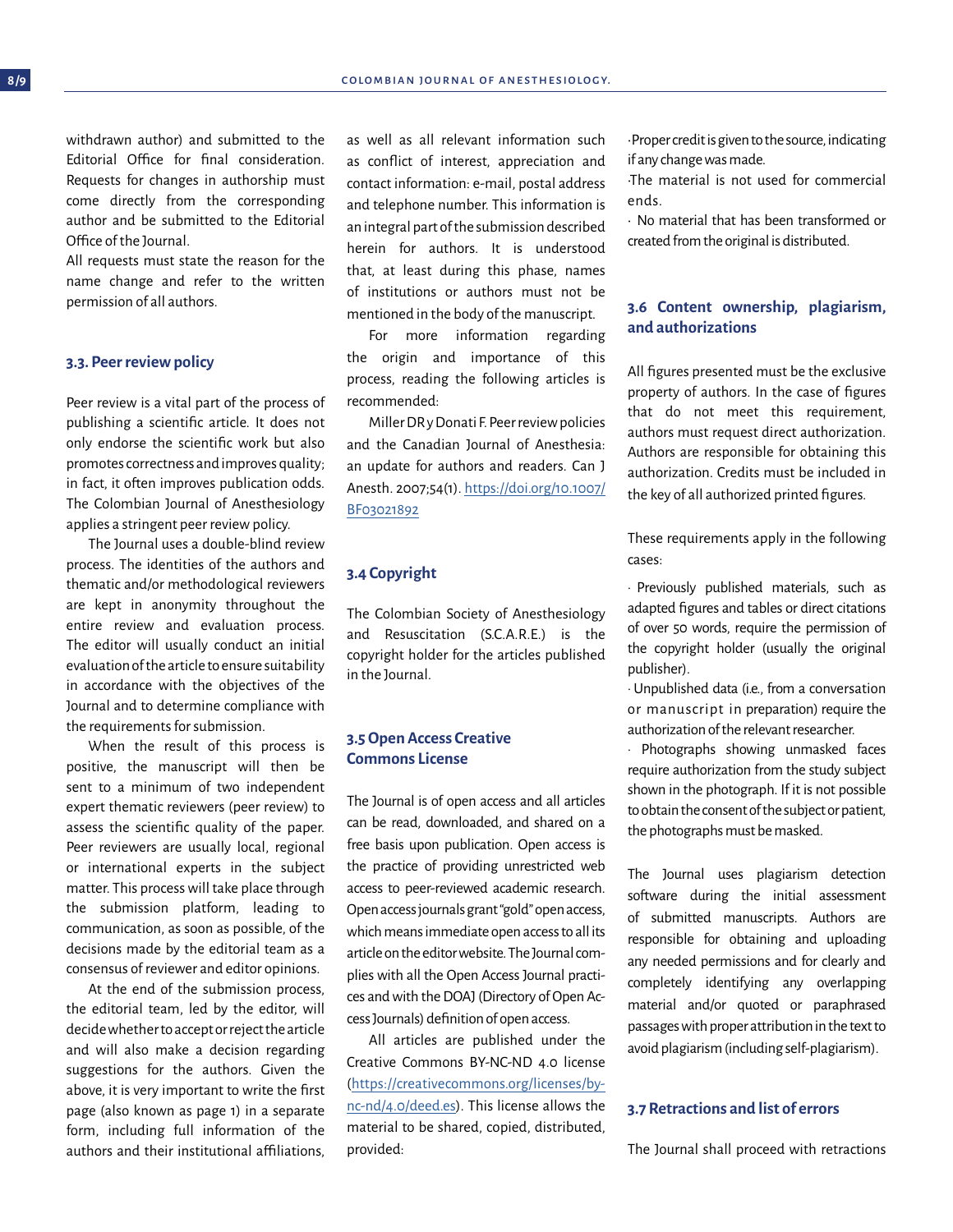withdrawn author) and submitted to the Editorial Office for final consideration. Requests for changes in authorship must come directly from the corresponding author and be submitted to the Editorial Office of the Journal.

All requests must state the reason for the name change and refer to the written permission of all authors.

#### **3.3. Peer review policy**

Peer review is a vital part of the process of publishing a scientific article. It does not only endorse the scientific work but also promotes correctness and improves quality; in fact, it often improves publication odds. The Colombian Journal of Anesthesiology applies a stringent peer review policy.

The Journal uses a double-blind review process. The identities of the authors and thematic and/or methodological reviewers are kept in anonymity throughout the entire review and evaluation process. The editor will usually conduct an initial evaluation of the article to ensure suitability in accordance with the objectives of the Journal and to determine compliance with the requirements for submission.

When the result of this process is positive, the manuscript will then be sent to a minimum of two independent expert thematic reviewers (peer review) to assess the scientific quality of the paper. Peer reviewers are usually local, regional or international experts in the subject matter. This process will take place through the submission platform, leading to communication, as soon as possible, of the decisions made by the editorial team as a consensus of reviewer and editor opinions.

At the end of the submission process, the editorial team, led by the editor, will decide whether to accept or reject the article and will also make a decision regarding suggestions for the authors. Given the above, it is very important to write the first page (also known as page 1) in a separate form, including full information of the authors and their institutional affiliations, as well as all relevant information such as conflict of interest, appreciation and contact information: e-mail, postal address and telephone number. This information is an integral part of the submission described herein for authors. It is understood that, at least during this phase, names of institutions or authors must not be mentioned in the body of the manuscript.

For more information regarding the origin and importance of this process, reading the following articles is recommended:

Miller DR y Donati F. Peer review policies and the Canadian Journal of Anesthesia: an update for authors and readers. Can J Anesth. 2007;54(1). [https://doi.org/10.1007/](https://doi.org/10.1007/BF03021892 ) [BF03021892](https://doi.org/10.1007/BF03021892 )

# **3.4 Copyright**

The Colombian Society of Anesthesiology and Resuscitation (S.C.A.R.E.) is the copyright holder for the articles published in the Journal.

## **3.5 Open Access Creative Commons License**

The Journal is of open access and all articles can be read, downloaded, and shared on a free basis upon publication. Open access is the practice of providing unrestricted web access to peer-reviewed academic research. Open access journals grant "gold" open access, which means immediate open access to all its article on the editor website. The Journal complies with all the Open Access Journal practices and with the DOAJ (Directory of Open Access Journals) definition of open access.

All articles are published under the Creative Commons BY-NC-ND 4.0 license ([https://creativecommons.org/licenses/by](https://creativecommons.org/licenses/by-nc-nd/4.0/deed.es)[nc-nd/4.0/deed.es\)](https://creativecommons.org/licenses/by-nc-nd/4.0/deed.es). This license allows the material to be shared, copied, distributed, provided:

• Proper credit is given to the source, indicating if any change was made.

• The material is not used for commercial ends.

• No material that has been transformed or created from the original is distributed.

# **3.6 Content ownership, plagiarism, and authorizations**

All figures presented must be the exclusive property of authors. In the case of figures that do not meet this requirement, authors must request direct authorization. Authors are responsible for obtaining this authorization. Credits must be included in the key of all authorized printed figures.

These requirements apply in the following cases:

· Previously published materials, such as adapted figures and tables or direct citations of over 50 words, require the permission of the copyright holder (usually the original publisher).

· Unpublished data (i.e., from a conversation or manuscript in preparation) require the authorization of the relevant researcher.

· Photographs showing unmasked faces require authorization from the study subject shown in the photograph. If it is not possible to obtain the consent of the subject or patient, the photographs must be masked.

The Journal uses plagiarism detection software during the initial assessment of submitted manuscripts. Authors are responsible for obtaining and uploading any needed permissions and for clearly and completely identifying any overlapping material and/or quoted or paraphrased passages with proper attribution in the text to avoid plagiarism (including self-plagiarism).

#### **3.7 Retractions and list of errors**

The Journal shall proceed with retractions